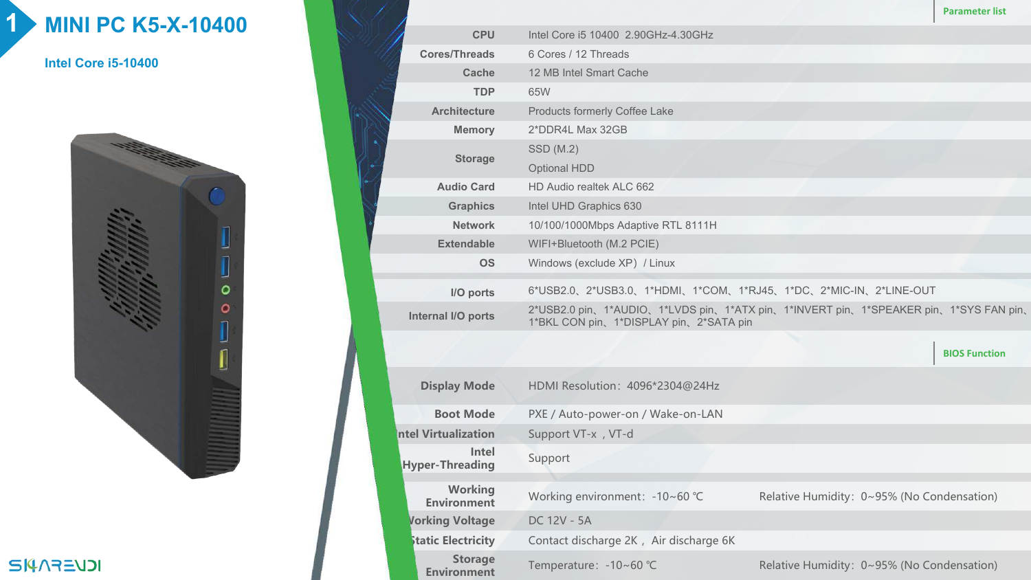## **1 MINI PC K5-X-10400**

**Intel Core i5-10400**



|  |  | <b>ICVEFAPIE</b> |
|--|--|------------------|
|  |  |                  |

|                                      |                                                                                                                               | <b>Parameter list</b> |  |  |  |  |  |
|--------------------------------------|-------------------------------------------------------------------------------------------------------------------------------|-----------------------|--|--|--|--|--|
| <b>CPU</b>                           | Intel Core i5 10400 2.90GHz-4.30GHz                                                                                           |                       |  |  |  |  |  |
| <b>Cores/Threads</b>                 | 6 Cores / 12 Threads                                                                                                          |                       |  |  |  |  |  |
| <b>Cache</b>                         | 12 MB Intel Smart Cache                                                                                                       |                       |  |  |  |  |  |
| <b>TDP</b>                           | 65W                                                                                                                           |                       |  |  |  |  |  |
| <b>Architecture</b>                  | <b>Products formerly Coffee Lake</b>                                                                                          |                       |  |  |  |  |  |
| <b>Memory</b>                        | 2*DDR4L Max 32GB                                                                                                              |                       |  |  |  |  |  |
| <b>Storage</b>                       | SSD (M.2)                                                                                                                     |                       |  |  |  |  |  |
|                                      | <b>Optional HDD</b>                                                                                                           |                       |  |  |  |  |  |
| <b>Audio Card</b>                    | HD Audio realtek ALC 662                                                                                                      |                       |  |  |  |  |  |
| <b>Graphics</b>                      | Intel UHD Graphics 630                                                                                                        |                       |  |  |  |  |  |
| <b>Network</b>                       | 10/100/1000Mbps Adaptive RTL 8111H                                                                                            |                       |  |  |  |  |  |
| <b>Extendable</b>                    | WIFI+Bluetooth (M.2 PCIE)                                                                                                     |                       |  |  |  |  |  |
| <b>OS</b>                            | Windows (exclude XP) / Linux                                                                                                  |                       |  |  |  |  |  |
| I/O ports                            | 6*USB2.0、2*USB3.0、1*HDMI、1*COM、1*RJ45、1*DC、2*MIC-IN、2*LINE-OUT                                                                |                       |  |  |  |  |  |
| Internal I/O ports                   | 2*USB2.0 pin、1*AUDIO、1*LVDS pin、1*ATX pin、1*INVERT pin、1*SPEAKER pin、1*SYS FAN pin、<br>1*BKL CON pin、1*DISPLAY pin、2*SATA pin |                       |  |  |  |  |  |
|                                      |                                                                                                                               | <b>BIOS Function</b>  |  |  |  |  |  |
|                                      |                                                                                                                               |                       |  |  |  |  |  |
| <b>Display Mode</b>                  | HDMI Resolution: 4096*2304@24Hz                                                                                               |                       |  |  |  |  |  |
| <b>Boot Mode</b>                     | PXE / Auto-power-on / Wake-on-LAN                                                                                             |                       |  |  |  |  |  |
| <b>Intel Virtualization</b>          | Support VT-x, VT-d                                                                                                            |                       |  |  |  |  |  |
| Intel<br><b>Hyper-Threading</b>      | Support                                                                                                                       |                       |  |  |  |  |  |
|                                      |                                                                                                                               |                       |  |  |  |  |  |
| <b>Working</b><br><b>Environment</b> | Working environment: -10~60 °C<br>Relative Humidity: 0~95% (No Condensation)                                                  |                       |  |  |  |  |  |
| <b>Vorking Voltage</b>               | DC 12V - 5A                                                                                                                   |                       |  |  |  |  |  |
| <b>Static Electricity</b>            | Contact discharge 2K, Air discharge 6K                                                                                        |                       |  |  |  |  |  |
| <b>Storage</b><br><b>Environment</b> | Temperature: -10~60 °C<br>Relative Humidity: 0~95% (No Condensation)                                                          |                       |  |  |  |  |  |